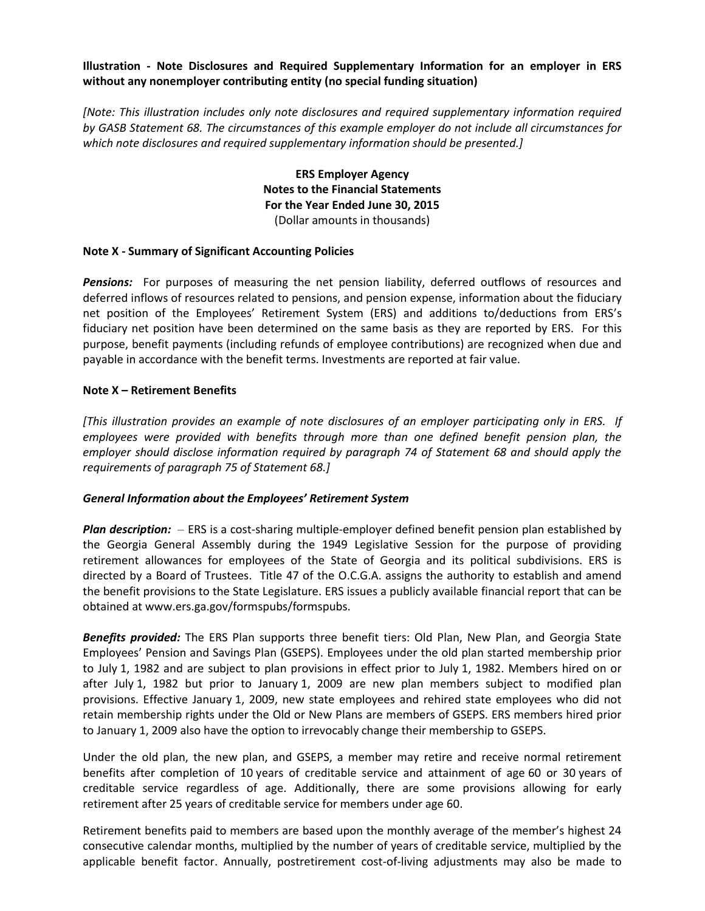#### **Illustration - Note Disclosures and Required Supplementary Information for an employer in ERS without any nonemployer contributing entity (no special funding situation)**

*[Note: This illustration includes only note disclosures and required supplementary information required by GASB Statement 68. The circumstances of this example employer do not include all circumstances for which note disclosures and required supplementary information should be presented.]*

> **ERS Employer Agency Notes to the Financial Statements For the Year Ended June 30, 2015** (Dollar amounts in thousands)

#### **Note X - Summary of Significant Accounting Policies**

*Pensions:* For purposes of measuring the net pension liability, deferred outflows of resources and deferred inflows of resources related to pensions, and pension expense, information about the fiduciary net position of the Employees' Retirement System (ERS) and additions to/deductions from ERS's fiduciary net position have been determined on the same basis as they are reported by ERS. For this purpose, benefit payments (including refunds of employee contributions) are recognized when due and payable in accordance with the benefit terms. Investments are reported at fair value.

#### **Note X – Retirement Benefits**

*[This illustration provides an example of note disclosures of an employer participating only in ERS. If employees were provided with benefits through more than one defined benefit pension plan, the employer should disclose information required by paragraph 74 of Statement 68 and should apply the requirements of paragraph 75 of Statement 68.]*

#### *General Information about the Employees' Retirement System*

*Plan description:* – ERS is a cost-sharing multiple-employer defined benefit pension plan established by the Georgia General Assembly during the 1949 Legislative Session for the purpose of providing retirement allowances for employees of the State of Georgia and its political subdivisions. ERS is directed by a Board of Trustees. Title 47 of the O.C.G.A. assigns the authority to establish and amend the benefit provisions to the State Legislature. ERS issues a publicly available financial report that can be obtained at www.ers.ga.gov/formspubs/formspubs.

*Benefits provided:* The ERS Plan supports three benefit tiers: Old Plan, New Plan, and Georgia State Employees' Pension and Savings Plan (GSEPS). Employees under the old plan started membership prior to July 1, 1982 and are subject to plan provisions in effect prior to July 1, 1982. Members hired on or after July 1, 1982 but prior to January 1, 2009 are new plan members subject to modified plan provisions. Effective January 1, 2009, new state employees and rehired state employees who did not retain membership rights under the Old or New Plans are members of GSEPS. ERS members hired prior to January 1, 2009 also have the option to irrevocably change their membership to GSEPS.

Under the old plan, the new plan, and GSEPS, a member may retire and receive normal retirement benefits after completion of 10 years of creditable service and attainment of age 60 or 30 years of creditable service regardless of age. Additionally, there are some provisions allowing for early retirement after 25 years of creditable service for members under age 60.

Retirement benefits paid to members are based upon the monthly average of the member's highest 24 consecutive calendar months, multiplied by the number of years of creditable service, multiplied by the applicable benefit factor. Annually, postretirement cost-of-living adjustments may also be made to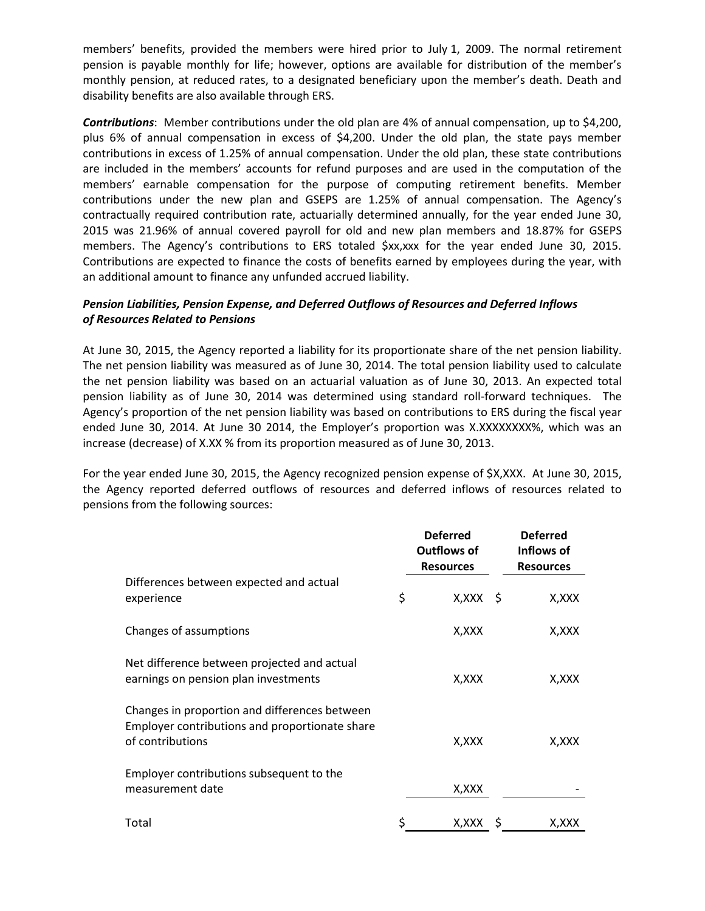members' benefits, provided the members were hired prior to July 1, 2009. The normal retirement pension is payable monthly for life; however, options are available for distribution of the member's monthly pension, at reduced rates, to a designated beneficiary upon the member's death. Death and disability benefits are also available through ERS.

*Contributions*: Member contributions under the old plan are 4% of annual compensation, up to \$4,200, plus 6% of annual compensation in excess of \$4,200. Under the old plan, the state pays member contributions in excess of 1.25% of annual compensation. Under the old plan, these state contributions are included in the members' accounts for refund purposes and are used in the computation of the members' earnable compensation for the purpose of computing retirement benefits. Member contributions under the new plan and GSEPS are 1.25% of annual compensation. The Agency's contractually required contribution rate, actuarially determined annually, for the year ended June 30, 2015 was 21.96% of annual covered payroll for old and new plan members and 18.87% for GSEPS members. The Agency's contributions to ERS totaled \$xx,xxx for the year ended June 30, 2015. Contributions are expected to finance the costs of benefits earned by employees during the year, with an additional amount to finance any unfunded accrued liability.

## *Pension Liabilities, Pension Expense, and Deferred Outflows of Resources and Deferred Inflows of Resources Related to Pensions*

At June 30, 2015, the Agency reported a liability for its proportionate share of the net pension liability. The net pension liability was measured as of June 30, 2014. The total pension liability used to calculate the net pension liability was based on an actuarial valuation as of June 30, 2013. An expected total pension liability as of June 30, 2014 was determined using standard roll-forward techniques. The Agency's proportion of the net pension liability was based on contributions to ERS during the fiscal year ended June 30, 2014. At June 30 2014, the Employer's proportion was X.XXXXXXXX%, which was an increase (decrease) of X.XX % from its proportion measured as of June 30, 2013.

For the year ended June 30, 2015, the Agency recognized pension expense of \$X,XXX. At June 30, 2015, the Agency reported deferred outflows of resources and deferred inflows of resources related to pensions from the following sources:

|                                                                                                                     | <b>Deferred</b><br><b>Outflows of</b><br><b>Resources</b> | <b>Deferred</b><br>Inflows of<br><b>Resources</b> |
|---------------------------------------------------------------------------------------------------------------------|-----------------------------------------------------------|---------------------------------------------------|
| Differences between expected and actual<br>experience                                                               | \$<br>$X, XXX \S$                                         | X,XXX                                             |
| Changes of assumptions                                                                                              | X,XXX                                                     | X, XXX                                            |
| Net difference between projected and actual<br>earnings on pension plan investments                                 | X,XXX                                                     | X,XXX                                             |
| Changes in proportion and differences between<br>Employer contributions and proportionate share<br>of contributions | X,XXX                                                     | X,XXX                                             |
| Employer contributions subsequent to the<br>measurement date                                                        | X, XXX                                                    |                                                   |
| Total                                                                                                               | \$<br>X,XXX                                               | X,XXX                                             |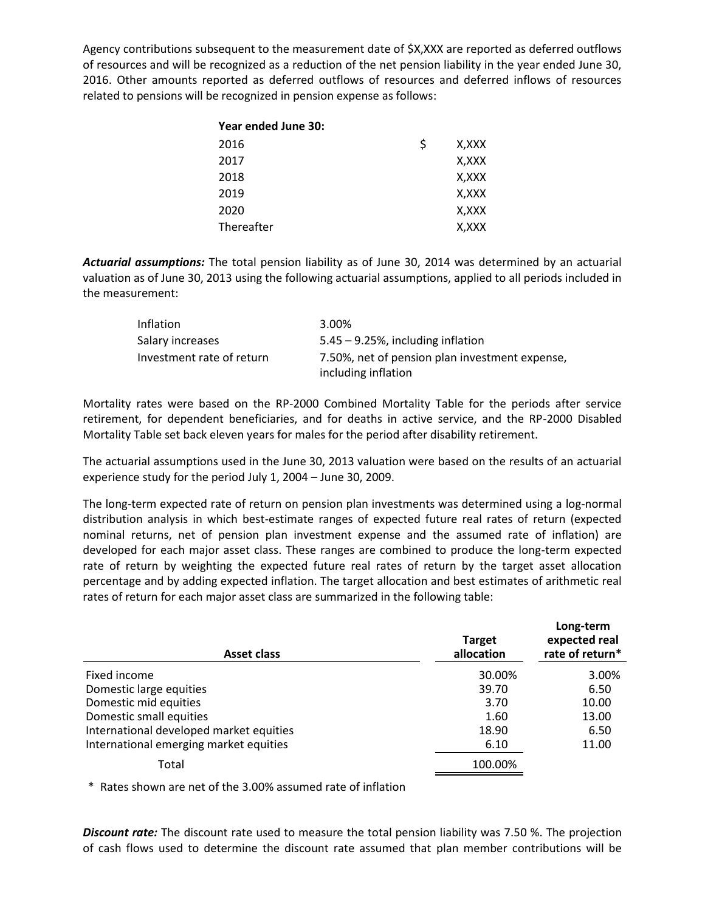Agency contributions subsequent to the measurement date of \$X,XXX are reported as deferred outflows of resources and will be recognized as a reduction of the net pension liability in the year ended June 30, 2016. Other amounts reported as deferred outflows of resources and deferred inflows of resources related to pensions will be recognized in pension expense as follows:

| Year ended June 30: |             |
|---------------------|-------------|
| 2016                | \$<br>X,XXX |
| 2017                | X,XXX       |
| 2018                | X,XXX       |
| 2019                | X,XXX       |
| 2020                | X,XXX       |
| Thereafter          | X,XXX       |

*Actuarial assumptions:* The total pension liability as of June 30, 2014 was determined by an actuarial valuation as of June 30, 2013 using the following actuarial assumptions, applied to all periods included in the measurement:

| <b>Inflation</b>          | 3.00%                                                                 |
|---------------------------|-----------------------------------------------------------------------|
| Salary increases          | $5.45 - 9.25$ %, including inflation                                  |
| Investment rate of return | 7.50%, net of pension plan investment expense,<br>including inflation |

Mortality rates were based on the RP-2000 Combined Mortality Table for the periods after service retirement, for dependent beneficiaries, and for deaths in active service, and the RP-2000 Disabled Mortality Table set back eleven years for males for the period after disability retirement.

The actuarial assumptions used in the June 30, 2013 valuation were based on the results of an actuarial experience study for the period July 1, 2004 – June 30, 2009.

The long-term expected rate of return on pension plan investments was determined using a log-normal distribution analysis in which best-estimate ranges of expected future real rates of return (expected nominal returns, net of pension plan investment expense and the assumed rate of inflation) are developed for each major asset class. These ranges are combined to produce the long-term expected rate of return by weighting the expected future real rates of return by the target asset allocation percentage and by adding expected inflation. The target allocation and best estimates of arithmetic real rates of return for each major asset class are summarized in the following table:

| <b>Asset class</b>                      | <b>Target</b><br>allocation | Long-term<br>expected real<br>rate of return* |
|-----------------------------------------|-----------------------------|-----------------------------------------------|
| Fixed income                            | 30.00%                      | 3.00%                                         |
| Domestic large equities                 | 39.70                       | 6.50                                          |
| Domestic mid equities                   | 3.70                        | 10.00                                         |
| Domestic small equities                 | 1.60                        | 13.00                                         |
| International developed market equities | 18.90                       | 6.50                                          |
| International emerging market equities  | 6.10                        | 11.00                                         |
| Total                                   | 100.00%                     |                                               |

\* Rates shown are net of the 3.00% assumed rate of inflation

*Discount rate:* The discount rate used to measure the total pension liability was 7.50 %. The projection of cash flows used to determine the discount rate assumed that plan member contributions will be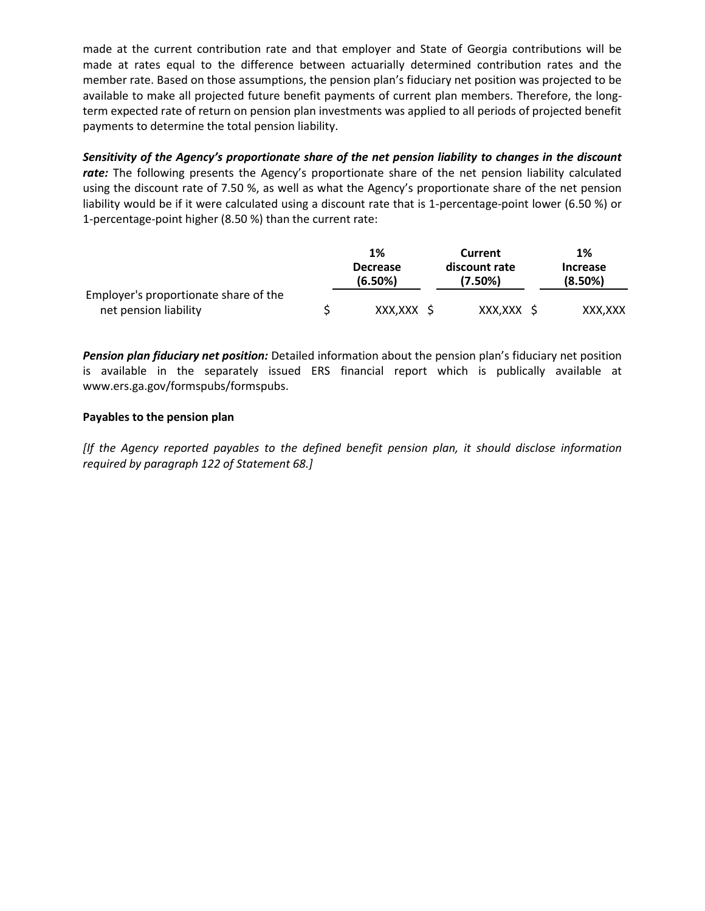made at the current contribution rate and that employer and State of Georgia contributions will be made at rates equal to the difference between actuarially determined contribution rates and the member rate. Based on those assumptions, the pension plan's fiduciary net position was projected to be available to make all projected future benefit payments of current plan members. Therefore, the longterm expected rate of return on pension plan investments was applied to all periods of projected benefit payments to determine the total pension liability.

*Sensitivity of the Agency's proportionate share of the net pension liability to changes in the discount*  rate: The following presents the Agency's proportionate share of the net pension liability calculated using the discount rate of 7.50 %, as well as what the Agency's proportionate share of the net pension liability would be if it were calculated using a discount rate that is 1-percentage-point lower (6.50 %) or 1-percentage-point higher (8.50 %) than the current rate:

|                                       | 1%                         | Current                  | 1%                         |
|---------------------------------------|----------------------------|--------------------------|----------------------------|
|                                       | <b>Decrease</b><br>(6.50%) | discount rate<br>(7.50%) | <b>Increase</b><br>(8.50%) |
| Employer's proportionate share of the |                            |                          |                            |
| net pension liability                 | XXX,XXX \$                 | XXX,XXX \$               | XXX.XXX                    |

*Pension plan fiduciary net position:* Detailed information about the pension plan's fiduciary net position is available in the separately issued ERS financial report which is publically available at www.ers.ga.gov/formspubs/formspubs.

## **Payables to the pension plan**

*[If the Agency reported payables to the defined benefit pension plan, it should disclose information required by paragraph 122 of Statement 68.]*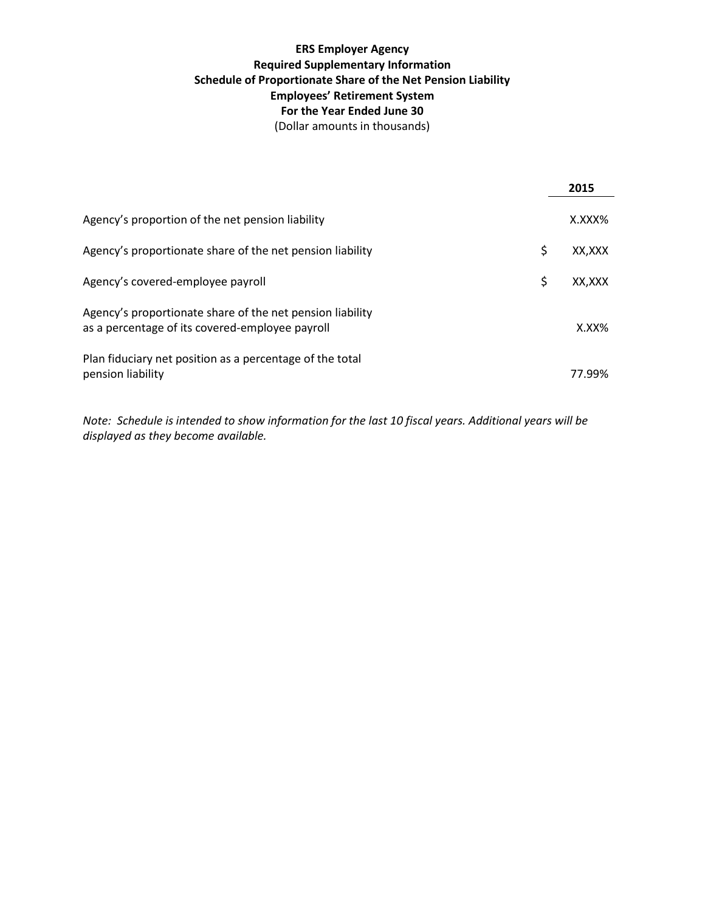# **ERS Employer Agency Required Supplementary Information Schedule of Proportionate Share of the Net Pension Liability Employees' Retirement System For the Year Ended June 30** (Dollar amounts in thousands)

|                                                                                                              | 2015         |
|--------------------------------------------------------------------------------------------------------------|--------------|
| Agency's proportion of the net pension liability                                                             | X.XXX%       |
| Agency's proportionate share of the net pension liability                                                    | \$<br>XX,XXX |
| Agency's covered-employee payroll                                                                            | \$<br>XX.XXX |
| Agency's proportionate share of the net pension liability<br>as a percentage of its covered-employee payroll | $X.XX\%$     |
| Plan fiduciary net position as a percentage of the total<br>pension liability                                | 77.99%       |

*Note: Schedule is intended to show information for the last 10 fiscal years. Additional years will be displayed as they become available.*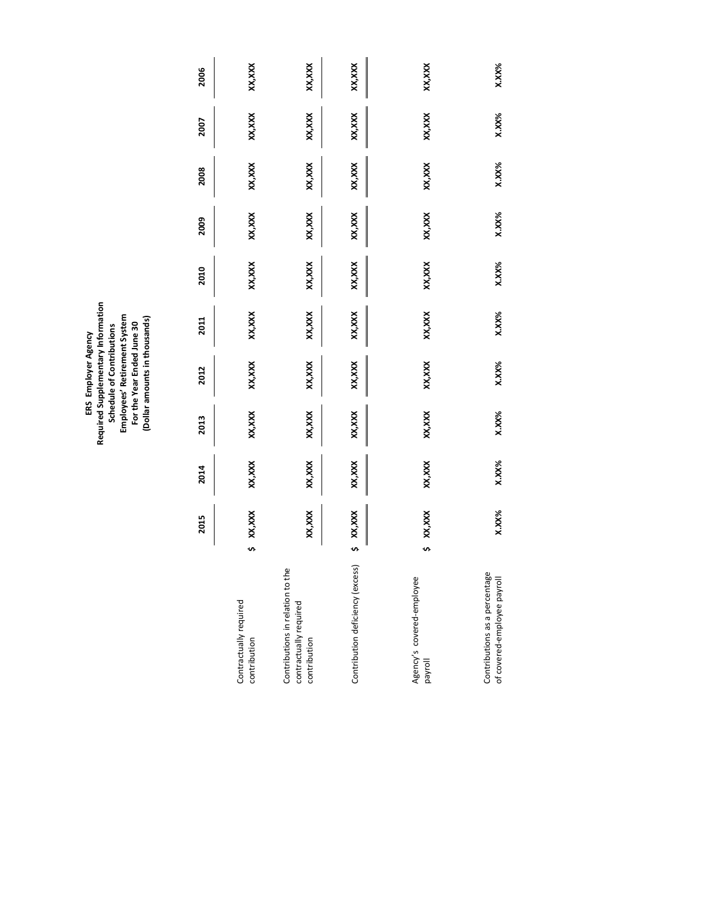ERS Employer Agency<br>Required Supplementary Information<br>Schedule of Contributions<br>Employees' Retirement System<br>For the Year Ended June 30<br>(Dollar amounts in thousands) **Required Supplementary Information (Dollar amounts in thousands) Employees' Retirement System For the Year Ended June 30 Schedule of Contributions ERS Employer Agency**

|                                                                            |   | 2015     | 2014   | 2013   | 2012     | 2011    | 2010     | 2009   | 2008    | 2007     | 2006     |
|----------------------------------------------------------------------------|---|----------|--------|--------|----------|---------|----------|--------|---------|----------|----------|
| Contractually required<br>contribution                                     |   | XX,XXX   | xx,xxx | XX,XXX | XX, XXX  | XX,XXX  | XX,XXX   | XX,XXX | XX,XXX  | XX,XXX   | XX,XXX   |
| Contributions in relation to the<br>contractually required<br>contribution |   | XX, XXX  | XX,XXX | XX,XXX | XX, XXX  | XX,XXX  | XX,XXX   | XX,XXX | XX, XXX | XX, XXX  | XX,XXX   |
| Contribution deficiency (excess)                                           | S | XX, XXX  | XX,XXX | XX,XXX | XX, XXX  | XX, XXX | XX,XXX   | XX,XXX | XX, XXX | XX, XXX  | XX,XXX   |
| Agency's covered-employee<br>payroll                                       |   | XX,XXX   | XX,XXX | XX,XXX | XX, XXX  | XX, XXX | XX,XXX   | XX,XXX | XX, XXX | XX, XXX  | XX,XXX   |
| Contributions as a percentage<br>of covered-employee payroll               |   | $X.XX\%$ | X.XX%  | X.XX%  | $X.XX\%$ | X.XX%   | $X.XX\%$ | X.XX%  | X.XX%   | $X.XX\%$ | $X.XX\%$ |